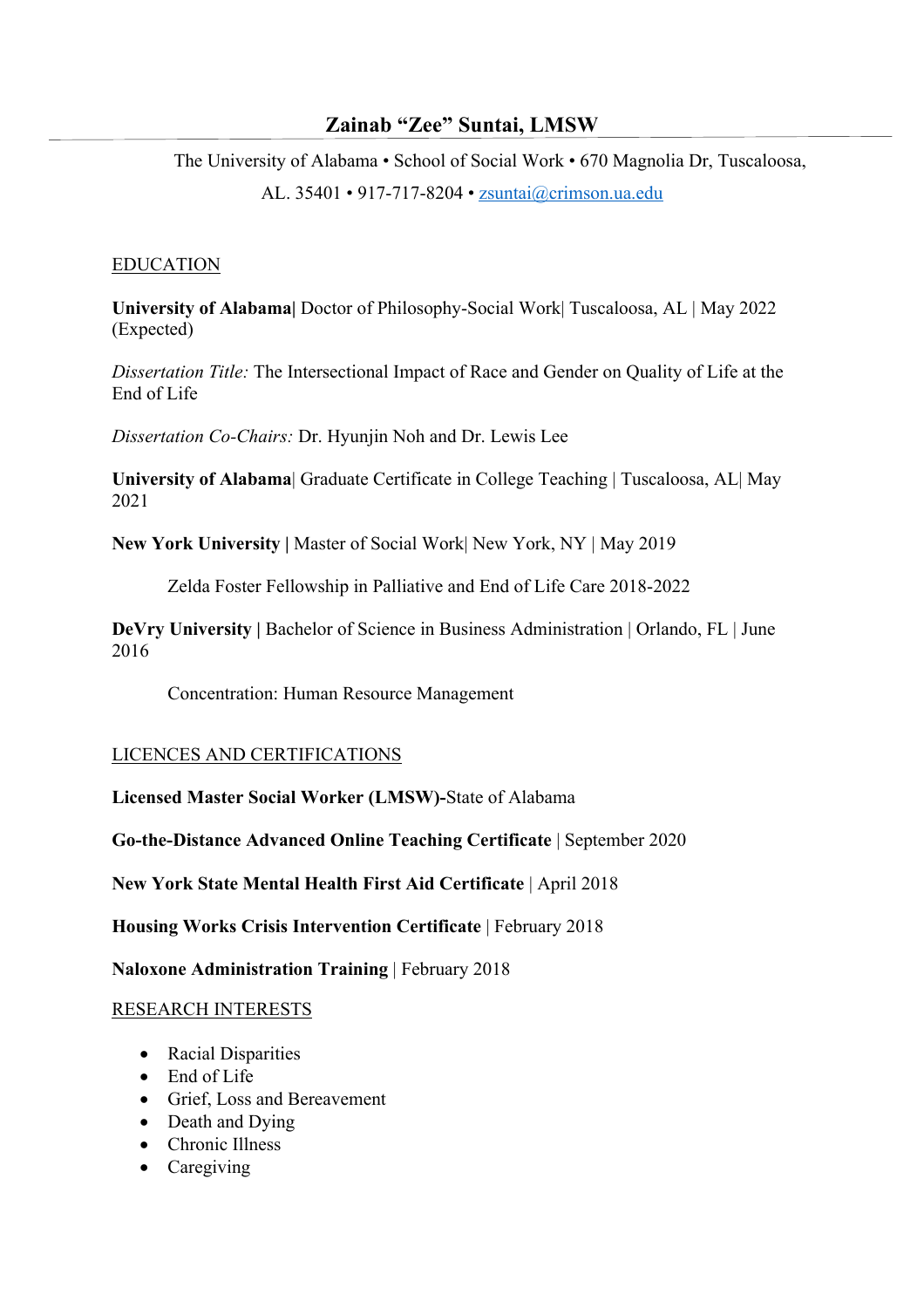# **Zainab "Zee" Suntai, LMSW**

The University of Alabama • School of Social Work • 670 Magnolia Dr, Tuscaloosa, AL. 35401 • 917-717-8204 • zsuntai@crimson.ua.edu

### EDUCATION

**University of Alabama|** Doctor of Philosophy-Social Work| Tuscaloosa, AL | May 2022 (Expected)

*Dissertation Title:* The Intersectional Impact of Race and Gender on Quality of Life at the End of Life

*Dissertation Co-Chairs:* Dr. Hyunjin Noh and Dr. Lewis Lee

**University of Alabama**| Graduate Certificate in College Teaching | Tuscaloosa, AL| May 2021

**New York University |** Master of Social Work| New York, NY | May 2019

Zelda Foster Fellowship in Palliative and End of Life Care 2018-2022

**DeVry University** | Bachelor of Science in Business Administration | Orlando, FL | June 2016

Concentration: Human Resource Management

# LICENCES AND CERTIFICATIONS

**Licensed Master Social Worker (LMSW)-**State of Alabama

**Go-the-Distance Advanced Online Teaching Certificate** | September 2020

**New York State Mental Health First Aid Certificate** | April 2018

**Housing Works Crisis Intervention Certificate** | February 2018

**Naloxone Administration Training** | February 2018

# RESEARCH INTERESTS

- Racial Disparities
- End of Life
- Grief, Loss and Bereavement
- Death and Dying
- Chronic Illness
- Caregiving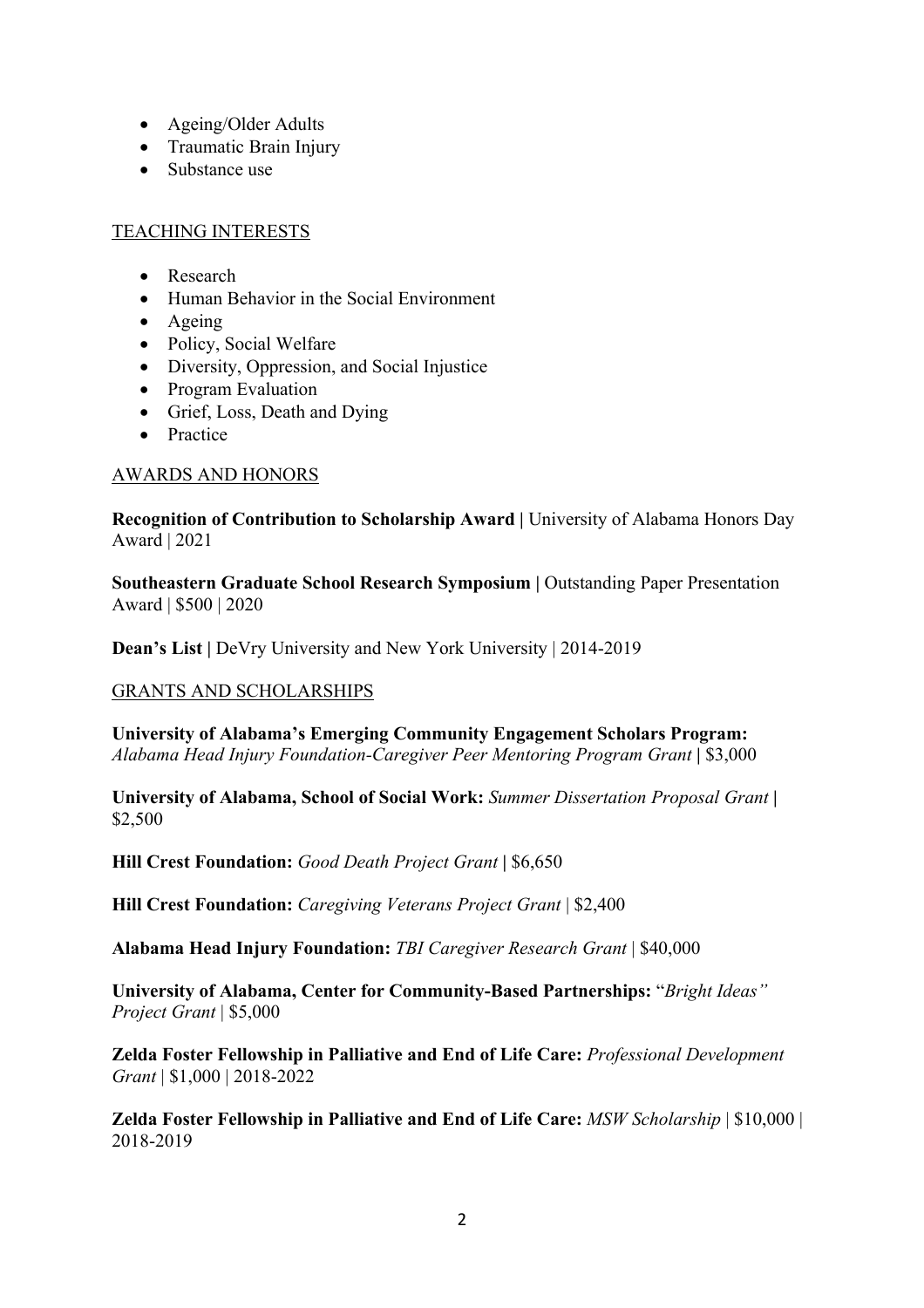- Ageing/Older Adults
- Traumatic Brain Injury
- Substance use

# TEACHING INTERESTS

- Research
- Human Behavior in the Social Environment
- Ageing
- Policy, Social Welfare
- Diversity, Oppression, and Social Injustice
- Program Evaluation
- Grief, Loss, Death and Dying
- Practice

# AWARDS AND HONORS

**Recognition of Contribution to Scholarship Award | University of Alabama Honors Day** Award | 2021

**Southeastern Graduate School Research Symposium | Outstanding Paper Presentation** Award | \$500 | 2020

**Dean's List |** DeVry University and New York University | 2014-2019

# GRANTS AND SCHOLARSHIPS

**University of Alabama's Emerging Community Engagement Scholars Program:**  *Alabama Head Injury Foundation-Caregiver Peer Mentoring Program Grant* **|** \$3,000

**University of Alabama, School of Social Work:** *Summer Dissertation Proposal Grant* **|**  \$2,500

**Hill Crest Foundation:** *Good Death Project Grant* **|** \$6,650

**Hill Crest Foundation:** *Caregiving Veterans Project Grant* | \$2,400

**Alabama Head Injury Foundation:** *TBI Caregiver Research Grant* | \$40,000

**University of Alabama, Center for Community-Based Partnerships:** "*Bright Ideas" Project Grant* | \$5,000

**Zelda Foster Fellowship in Palliative and End of Life Care:** *Professional Development Grant* | \$1,000 | 2018-2022

**Zelda Foster Fellowship in Palliative and End of Life Care:** *MSW Scholarship* | \$10,000 | 2018-2019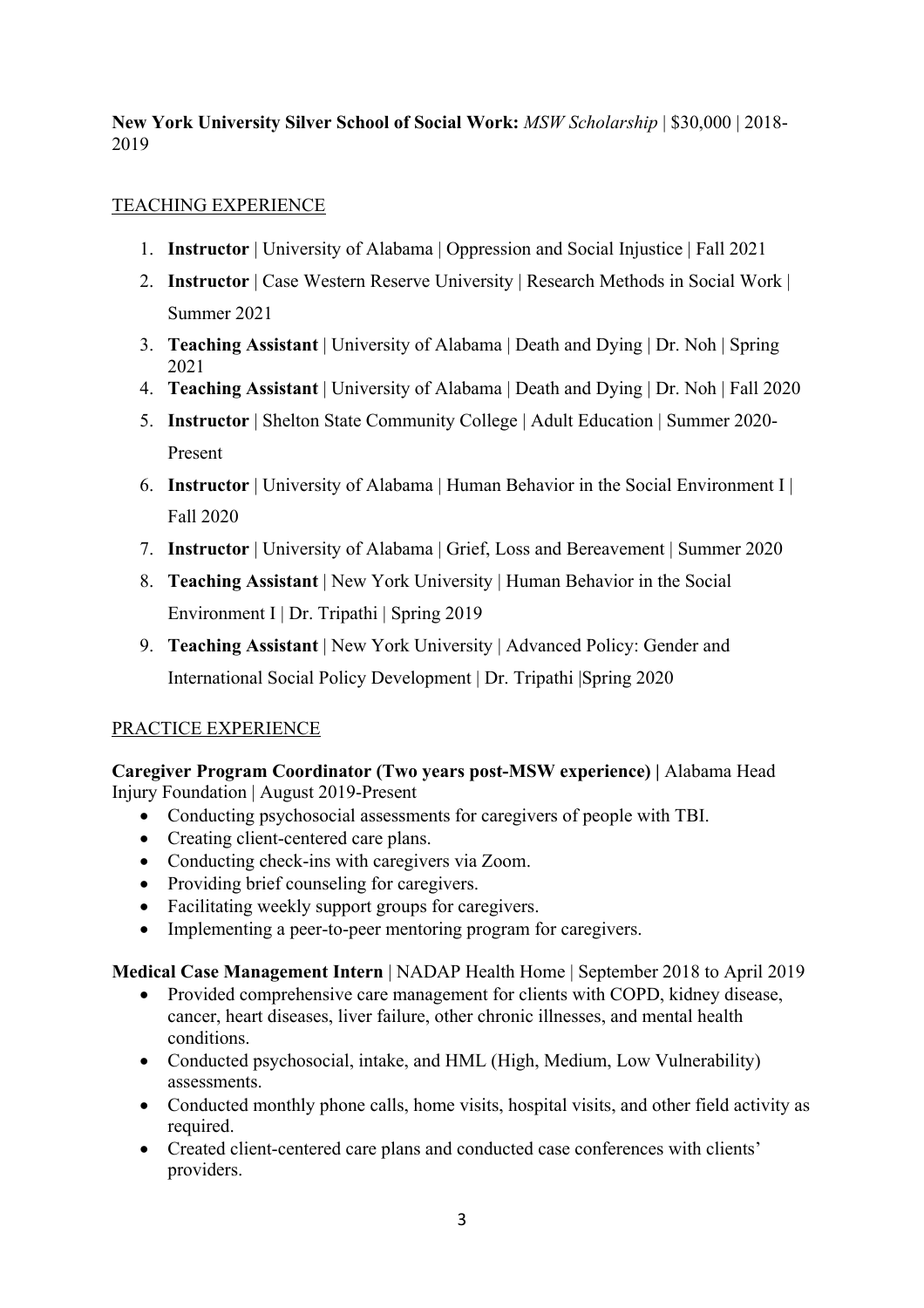**New York University Silver School of Social Work:** *MSW Scholarship* | \$30,000 | 2018- 2019

# TEACHING EXPERIENCE

- 1. **Instructor** | University of Alabama | Oppression and Social Injustice | Fall 2021
- 2. **Instructor** | Case Western Reserve University | Research Methods in Social Work | Summer 2021
- 3. **Teaching Assistant** | University of Alabama | Death and Dying | Dr. Noh | Spring 2021
- 4. **Teaching Assistant** | University of Alabama | Death and Dying | Dr. Noh | Fall 2020
- 5. **Instructor** | Shelton State Community College | Adult Education | Summer 2020- Present
- 6. **Instructor** | University of Alabama | Human Behavior in the Social Environment I | Fall 2020
- 7. **Instructor** | University of Alabama | Grief, Loss and Bereavement | Summer 2020
- 8. **Teaching Assistant** | New York University | Human Behavior in the Social Environment I | Dr. Tripathi | Spring 2019
- 9. **Teaching Assistant** | New York University | Advanced Policy: Gender and International Social Policy Development | Dr. Tripathi |Spring 2020

# PRACTICE EXPERIENCE

**Caregiver Program Coordinator (Two years post-MSW experience) |** Alabama Head Injury Foundation | August 2019-Present

- Conducting psychosocial assessments for caregivers of people with TBI.
- Creating client-centered care plans.
- Conducting check-ins with caregivers via Zoom.
- Providing brief counseling for caregivers.
- Facilitating weekly support groups for caregivers.
- Implementing a peer-to-peer mentoring program for caregivers.

**Medical Case Management Intern** | NADAP Health Home | September 2018 to April 2019

- Provided comprehensive care management for clients with COPD, kidney disease, cancer, heart diseases, liver failure, other chronic illnesses, and mental health conditions.
- Conducted psychosocial, intake, and HML (High, Medium, Low Vulnerability) assessments.
- Conducted monthly phone calls, home visits, hospital visits, and other field activity as required.
- Created client-centered care plans and conducted case conferences with clients' providers.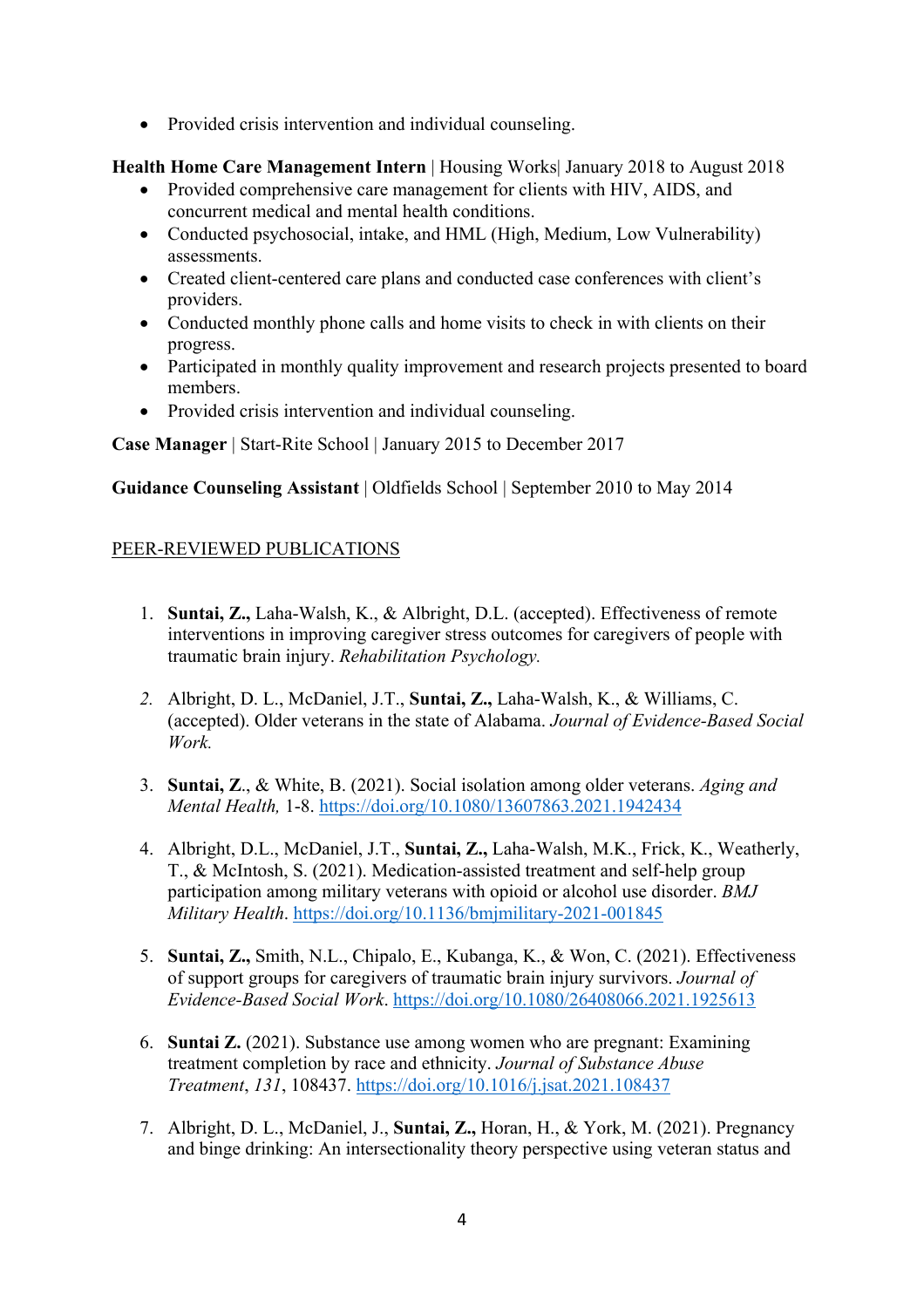• Provided crisis intervention and individual counseling.

**Health Home Care Management Intern** | Housing Works| January 2018 to August 2018

- Provided comprehensive care management for clients with HIV, AIDS, and concurrent medical and mental health conditions.
- Conducted psychosocial, intake, and HML (High, Medium, Low Vulnerability) assessments.
- Created client-centered care plans and conducted case conferences with client's providers.
- Conducted monthly phone calls and home visits to check in with clients on their progress.
- Participated in monthly quality improvement and research projects presented to board members.
- Provided crisis intervention and individual counseling.

**Case Manager** | Start-Rite School | January 2015 to December 2017

**Guidance Counseling Assistant** | Oldfields School | September 2010 to May 2014

# PEER-REVIEWED PUBLICATIONS

- 1. **Suntai, Z.,** Laha-Walsh, K., & Albright, D.L. (accepted). Effectiveness of remote interventions in improving caregiver stress outcomes for caregivers of people with traumatic brain injury. *Rehabilitation Psychology.*
- *2.* Albright, D. L., McDaniel, J.T., **Suntai, Z.,** Laha-Walsh, K., & Williams, C. (accepted). Older veterans in the state of Alabama. *Journal of Evidence-Based Social Work.*
- 3. **Suntai, Z**., & White, B. (2021). Social isolation among older veterans. *Aging and Mental Health,* 1-8. https://doi.org/10.1080/13607863.2021.1942434
- 4. Albright, D.L., McDaniel, J.T., **Suntai, Z.,** Laha-Walsh, M.K., Frick, K., Weatherly, T., & McIntosh, S. (2021). Medication-assisted treatment and self-help group participation among military veterans with opioid or alcohol use disorder. *BMJ Military Health*. https://doi.org/10.1136/bmjmilitary-2021-001845
- 5. **Suntai, Z.,** Smith, N.L., Chipalo, E., Kubanga, K., & Won, C. (2021). Effectiveness of support groups for caregivers of traumatic brain injury survivors. *Journal of Evidence-Based Social Work*. https://doi.org/10.1080/26408066.2021.1925613
- 6. **Suntai Z.** (2021). Substance use among women who are pregnant: Examining treatment completion by race and ethnicity. *Journal of Substance Abuse Treatment*, *131*, 108437. https://doi.org/10.1016/j.jsat.2021.108437
- 7. Albright, D. L., McDaniel, J., **Suntai, Z.,** Horan, H., & York, M. (2021). Pregnancy and binge drinking: An intersectionality theory perspective using veteran status and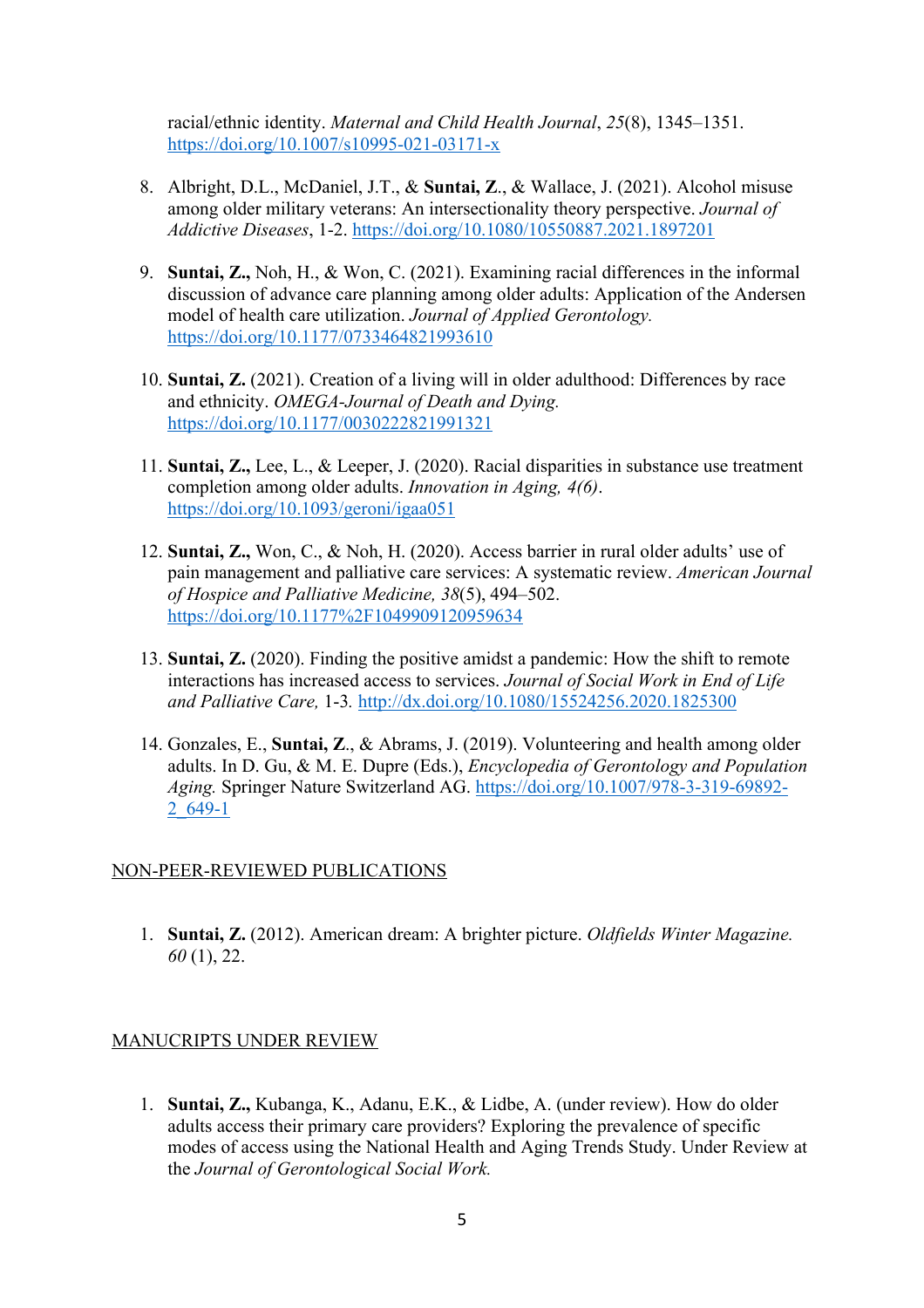racial/ethnic identity. *Maternal and Child Health Journal*, *25*(8), 1345–1351. https://doi.org/10.1007/s10995-021-03171-x

- 8. Albright, D.L., McDaniel, J.T., & **Suntai, Z**., & Wallace, J. (2021). Alcohol misuse among older military veterans: An intersectionality theory perspective. *Journal of Addictive Diseases*, 1-2. https://doi.org/10.1080/10550887.2021.1897201
- 9. **Suntai, Z.,** Noh, H., & Won, C. (2021). Examining racial differences in the informal discussion of advance care planning among older adults: Application of the Andersen model of health care utilization. *Journal of Applied Gerontology.*  https://doi.org/10.1177/0733464821993610
- 10. **Suntai, Z.** (2021). Creation of a living will in older adulthood: Differences by race and ethnicity. *OMEGA-Journal of Death and Dying.* https://doi.org/10.1177/0030222821991321
- 11. **Suntai, Z.,** Lee, L., & Leeper, J. (2020). Racial disparities in substance use treatment completion among older adults. *Innovation in Aging, 4(6)*. https://doi.org/10.1093/geroni/igaa051
- 12. **Suntai, Z.,** Won, C., & Noh, H. (2020). Access barrier in rural older adults' use of pain management and palliative care services: A systematic review. *American Journal of Hospice and Palliative Medicine, 38*(5), 494–502. https://doi.org/10.1177%2F1049909120959634
- 13. **Suntai, Z.** (2020). Finding the positive amidst a pandemic: How the shift to remote interactions has increased access to services. *Journal of Social Work in End of Life and Palliative Care,* 1-3*.* http://dx.doi.org/10.1080/15524256.2020.1825300
- 14. Gonzales, E., **Suntai, Z**., & Abrams, J. (2019). Volunteering and health among older adults. In D. Gu, & M. E. Dupre (Eds.), *Encyclopedia of Gerontology and Population Aging.* Springer Nature Switzerland AG. https://doi.org/10.1007/978-3-319-69892- 2\_649-1

### NON-PEER-REVIEWED PUBLICATIONS

1. **Suntai, Z.** (2012). American dream: A brighter picture. *Oldfields Winter Magazine. 60* (1), 22.

### MANUCRIPTS UNDER REVIEW

1. **Suntai, Z.,** Kubanga, K., Adanu, E.K., & Lidbe, A. (under review). How do older adults access their primary care providers? Exploring the prevalence of specific modes of access using the National Health and Aging Trends Study. Under Review at the *Journal of Gerontological Social Work.*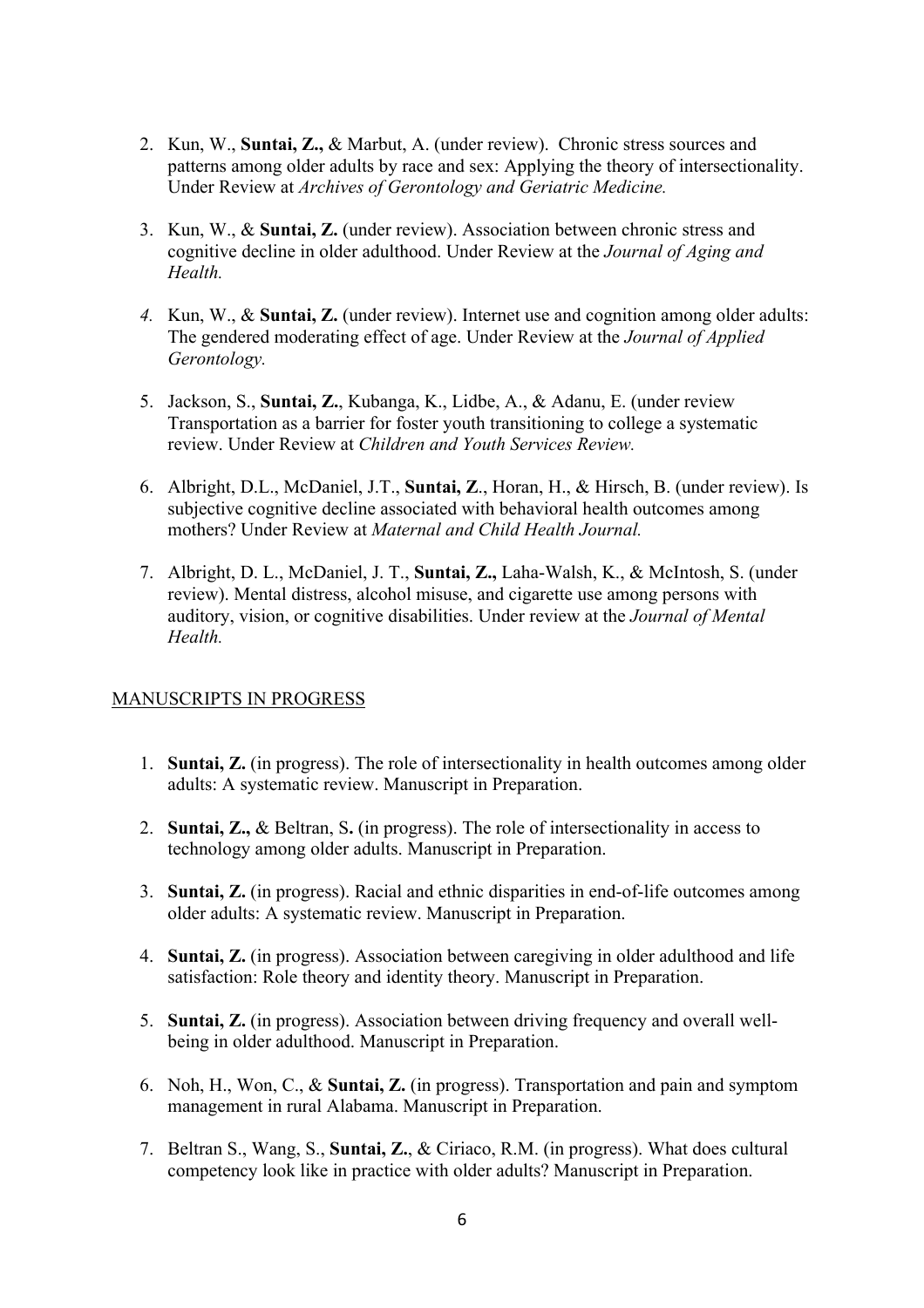- 2. Kun, W., **Suntai, Z.,** & Marbut, A. (under review). Chronic stress sources and patterns among older adults by race and sex: Applying the theory of intersectionality. Under Review at *Archives of Gerontology and Geriatric Medicine.*
- 3. Kun, W., & **Suntai, Z.** (under review). Association between chronic stress and cognitive decline in older adulthood. Under Review at the *Journal of Aging and Health.*
- *4.* Kun, W., & **Suntai, Z.** (under review). Internet use and cognition among older adults: The gendered moderating effect of age. Under Review at the *Journal of Applied Gerontology.*
- 5. Jackson, S., **Suntai, Z.**, Kubanga, K., Lidbe, A., & Adanu, E. (under review Transportation as a barrier for foster youth transitioning to college a systematic review. Under Review at *Children and Youth Services Review.*
- 6. Albright, D.L., McDaniel, J.T., **Suntai, Z**., Horan, H., & Hirsch, B. (under review). Is subjective cognitive decline associated with behavioral health outcomes among mothers? Under Review at *Maternal and Child Health Journal.*
- 7. Albright, D. L., McDaniel, J. T., **Suntai, Z.,** Laha-Walsh, K., & McIntosh, S. (under review). Mental distress, alcohol misuse, and cigarette use among persons with auditory, vision, or cognitive disabilities. Under review at the *Journal of Mental Health.*

# MANUSCRIPTS IN PROGRESS

- 1. **Suntai, Z.** (in progress). The role of intersectionality in health outcomes among older adults: A systematic review. Manuscript in Preparation.
- 2. **Suntai, Z.,** & Beltran, S**.** (in progress). The role of intersectionality in access to technology among older adults. Manuscript in Preparation.
- 3. **Suntai, Z.** (in progress). Racial and ethnic disparities in end-of-life outcomes among older adults: A systematic review. Manuscript in Preparation.
- 4. **Suntai, Z.** (in progress). Association between caregiving in older adulthood and life satisfaction: Role theory and identity theory. Manuscript in Preparation.
- 5. **Suntai, Z.** (in progress). Association between driving frequency and overall wellbeing in older adulthood. Manuscript in Preparation.
- 6. Noh, H., Won, C., & **Suntai, Z.** (in progress). Transportation and pain and symptom management in rural Alabama. Manuscript in Preparation.
- 7. Beltran S., Wang, S., **Suntai, Z.**, & Ciriaco, R.M. (in progress). What does cultural competency look like in practice with older adults? Manuscript in Preparation.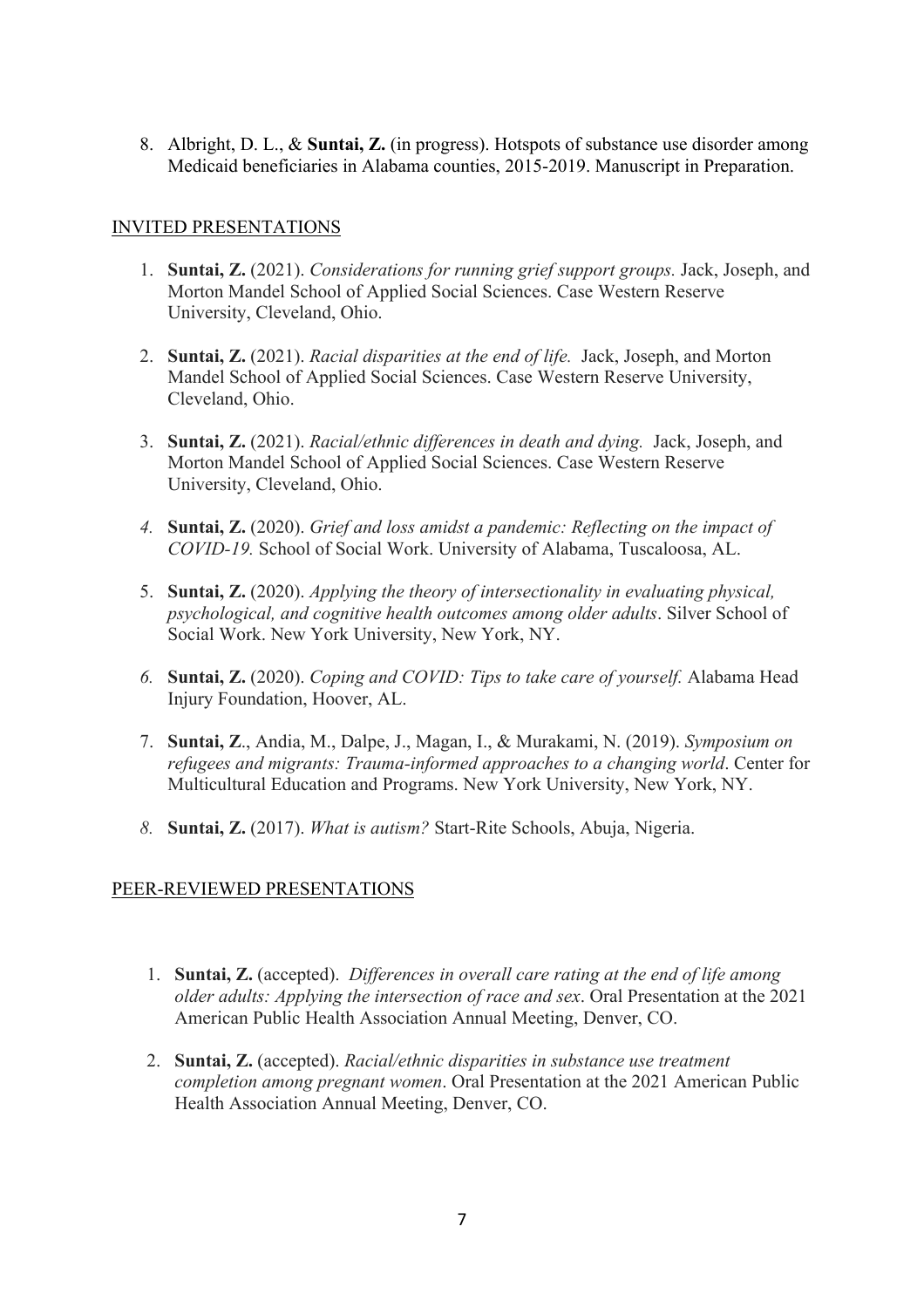8. Albright, D. L., & **Suntai, Z.** (in progress). Hotspots of substance use disorder among Medicaid beneficiaries in Alabama counties, 2015-2019. Manuscript in Preparation.

# INVITED PRESENTATIONS

- 1. **Suntai, Z.** (2021). *Considerations for running grief support groups.* Jack, Joseph, and Morton Mandel School of Applied Social Sciences. Case Western Reserve University, Cleveland, Ohio.
- 2. **Suntai, Z.** (2021). *Racial disparities at the end of life.* Jack, Joseph, and Morton Mandel School of Applied Social Sciences. Case Western Reserve University, Cleveland, Ohio.
- 3. **Suntai, Z.** (2021). *Racial/ethnic differences in death and dying.* Jack, Joseph, and Morton Mandel School of Applied Social Sciences. Case Western Reserve University, Cleveland, Ohio.
- *4.* **Suntai, Z.** (2020). *Grief and loss amidst a pandemic: Reflecting on the impact of COVID-19.* School of Social Work. University of Alabama, Tuscaloosa, AL.
- 5. **Suntai, Z.** (2020). *Applying the theory of intersectionality in evaluating physical, psychological, and cognitive health outcomes among older adults*. Silver School of Social Work. New York University, New York, NY.
- *6.* **Suntai, Z.** (2020). *Coping and COVID: Tips to take care of yourself.* Alabama Head Injury Foundation, Hoover, AL.
- 7. **Suntai, Z**., Andia, M., Dalpe, J., Magan, I., & Murakami, N. (2019). *Symposium on refugees and migrants: Trauma-informed approaches to a changing world*. Center for Multicultural Education and Programs. New York University, New York, NY.
- *8.* **Suntai, Z.** (2017). *What is autism?* Start-Rite Schools, Abuja, Nigeria.

# PEER-REVIEWED PRESENTATIONS

- 1. **Suntai, Z.** (accepted). *Differences in overall care rating at the end of life among older adults: Applying the intersection of race and sex*. Oral Presentation at the 2021 American Public Health Association Annual Meeting, Denver, CO.
- 2. **Suntai, Z.** (accepted). *Racial/ethnic disparities in substance use treatment completion among pregnant women*. Oral Presentation at the 2021 American Public Health Association Annual Meeting, Denver, CO.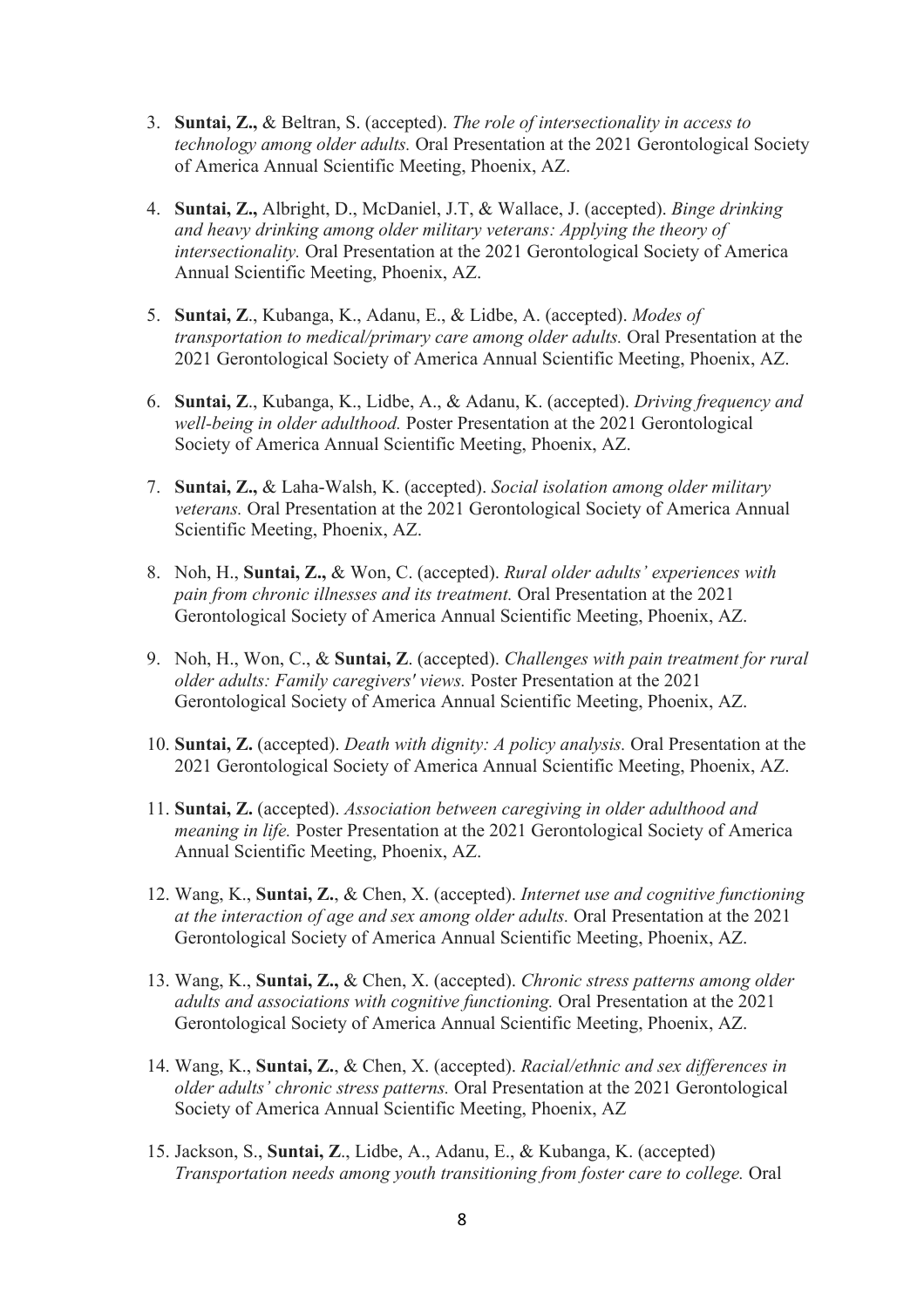- 3. **Suntai, Z.,** & Beltran, S. (accepted). *The role of intersectionality in access to technology among older adults.* Oral Presentation at the 2021 Gerontological Society of America Annual Scientific Meeting, Phoenix, AZ.
- 4. **Suntai, Z.,** Albright, D., McDaniel, J.T, & Wallace, J. (accepted). *Binge drinking and heavy drinking among older military veterans: Applying the theory of intersectionality.* Oral Presentation at the 2021 Gerontological Society of America Annual Scientific Meeting, Phoenix, AZ.
- 5. **Suntai, Z**., Kubanga, K., Adanu, E., & Lidbe, A. (accepted). *Modes of transportation to medical/primary care among older adults.* Oral Presentation at the 2021 Gerontological Society of America Annual Scientific Meeting, Phoenix, AZ.
- 6. **Suntai, Z**., Kubanga, K., Lidbe, A., & Adanu, K. (accepted). *Driving frequency and well-being in older adulthood.* Poster Presentation at the 2021 Gerontological Society of America Annual Scientific Meeting, Phoenix, AZ.
- 7. **Suntai, Z.,** & Laha-Walsh, K. (accepted). *Social isolation among older military veterans.* Oral Presentation at the 2021 Gerontological Society of America Annual Scientific Meeting, Phoenix, AZ.
- 8. Noh, H., **Suntai, Z.,** & Won, C. (accepted). *Rural older adults' experiences with pain from chronic illnesses and its treatment.* Oral Presentation at the 2021 Gerontological Society of America Annual Scientific Meeting, Phoenix, AZ.
- 9. Noh, H., Won, C., & **Suntai, Z**. (accepted). *Challenges with pain treatment for rural older adults: Family caregivers' views.* Poster Presentation at the 2021 Gerontological Society of America Annual Scientific Meeting, Phoenix, AZ.
- 10. **Suntai, Z.** (accepted). *Death with dignity: A policy analysis.* Oral Presentation at the 2021 Gerontological Society of America Annual Scientific Meeting, Phoenix, AZ.
- 11. **Suntai, Z.** (accepted). *Association between caregiving in older adulthood and meaning in life.* Poster Presentation at the 2021 Gerontological Society of America Annual Scientific Meeting, Phoenix, AZ.
- 12. Wang, K., **Suntai, Z.**, & Chen, X. (accepted). *Internet use and cognitive functioning at the interaction of age and sex among older adults.* Oral Presentation at the 2021 Gerontological Society of America Annual Scientific Meeting, Phoenix, AZ.
- 13. Wang, K., **Suntai, Z.,** & Chen, X. (accepted). *Chronic stress patterns among older adults and associations with cognitive functioning.* Oral Presentation at the 2021 Gerontological Society of America Annual Scientific Meeting, Phoenix, AZ.
- 14. Wang, K., **Suntai, Z.**, & Chen, X. (accepted). *Racial/ethnic and sex differences in older adults' chronic stress patterns.* Oral Presentation at the 2021 Gerontological Society of America Annual Scientific Meeting, Phoenix, AZ
- 15. Jackson, S., **Suntai, Z**., Lidbe, A., Adanu, E., & Kubanga, K. (accepted) *Transportation needs among youth transitioning from foster care to college.* Oral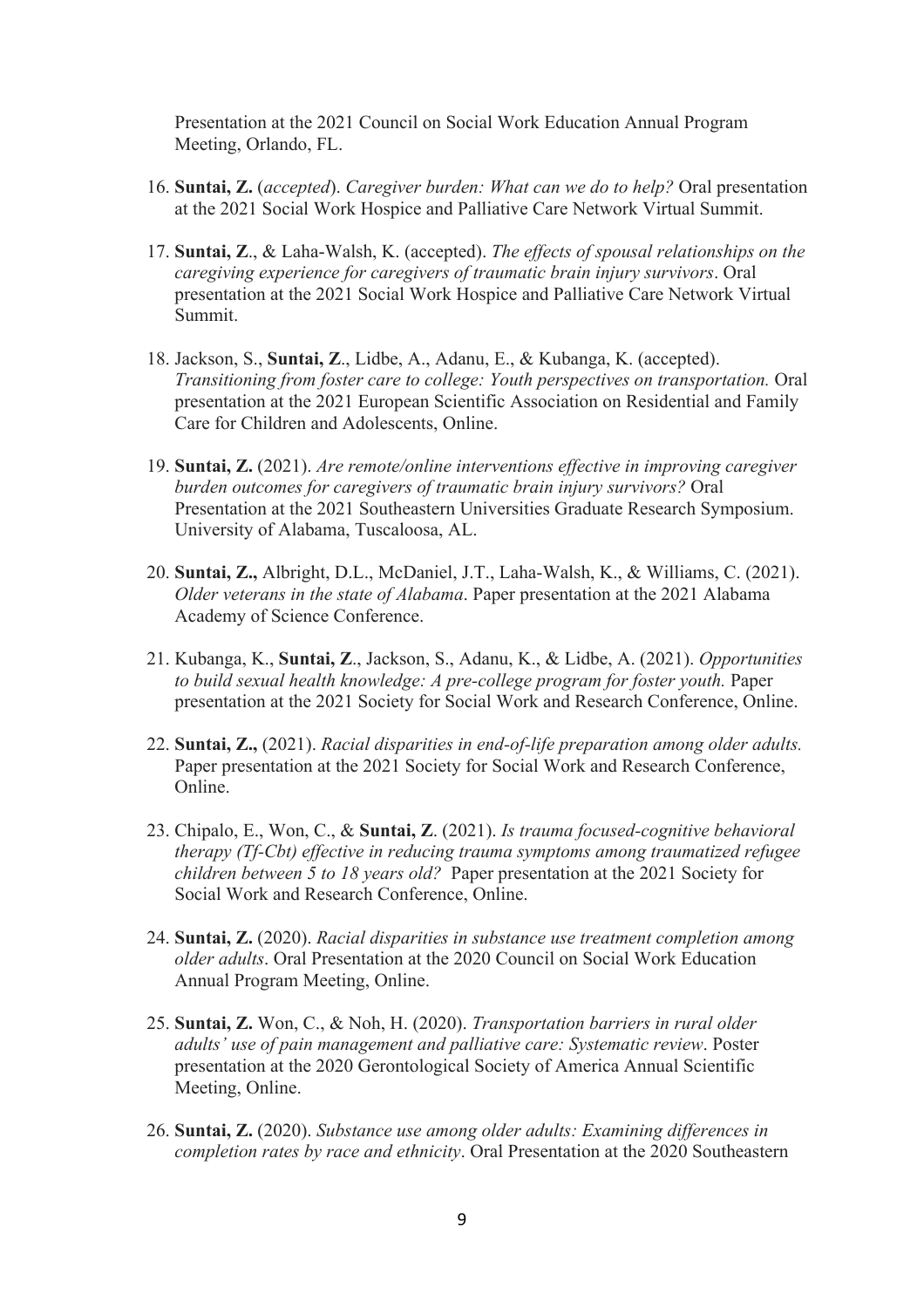Presentation at the 2021 Council on Social Work Education Annual Program Meeting, Orlando, FL.

- 16. **Suntai, Z.** (*accepted*). *Caregiver burden: What can we do to help?* Oral presentation at the 2021 Social Work Hospice and Palliative Care Network Virtual Summit.
- 17. **Suntai, Z**., & Laha-Walsh, K. (accepted). *The effects of spousal relationships on the caregiving experience for caregivers of traumatic brain injury survivors*. Oral presentation at the 2021 Social Work Hospice and Palliative Care Network Virtual Summit.
- 18. Jackson, S., **Suntai, Z**., Lidbe, A., Adanu, E., & Kubanga, K. (accepted). *Transitioning from foster care to college: Youth perspectives on transportation.* Oral presentation at the 2021 European Scientific Association on Residential and Family Care for Children and Adolescents, Online.
- 19. **Suntai, Z.** (2021). *Are remote/online interventions effective in improving caregiver burden outcomes for caregivers of traumatic brain injury survivors?* Oral Presentation at the 2021 Southeastern Universities Graduate Research Symposium. University of Alabama, Tuscaloosa, AL.
- 20. **Suntai, Z.,** Albright, D.L., McDaniel, J.T., Laha-Walsh, K., & Williams, C. (2021). *Older veterans in the state of Alabama*. Paper presentation at the 2021 Alabama Academy of Science Conference.
- 21. Kubanga, K., **Suntai, Z**., Jackson, S., Adanu, K., & Lidbe, A. (2021). *Opportunities to build sexual health knowledge: A pre-college program for foster youth.* Paper presentation at the 2021 Society for Social Work and Research Conference, Online.
- 22. **Suntai, Z.,** (2021). *Racial disparities in end-of-life preparation among older adults.*  Paper presentation at the 2021 Society for Social Work and Research Conference, Online.
- 23. Chipalo, E., Won, C., & **Suntai, Z**. (2021). *Is trauma focused-cognitive behavioral therapy (Tf-Cbt) effective in reducing trauma symptoms among traumatized refugee children between 5 to 18 years old?* Paper presentation at the 2021 Society for Social Work and Research Conference, Online.
- 24. **Suntai, Z.** (2020). *Racial disparities in substance use treatment completion among older adults*. Oral Presentation at the 2020 Council on Social Work Education Annual Program Meeting, Online.
- 25. **Suntai, Z.** Won, C., & Noh, H. (2020). *Transportation barriers in rural older adults' use of pain management and palliative care: Systematic review*. Poster presentation at the 2020 Gerontological Society of America Annual Scientific Meeting, Online.
- 26. **Suntai, Z.** (2020). *Substance use among older adults: Examining differences in completion rates by race and ethnicity*. Oral Presentation at the 2020 Southeastern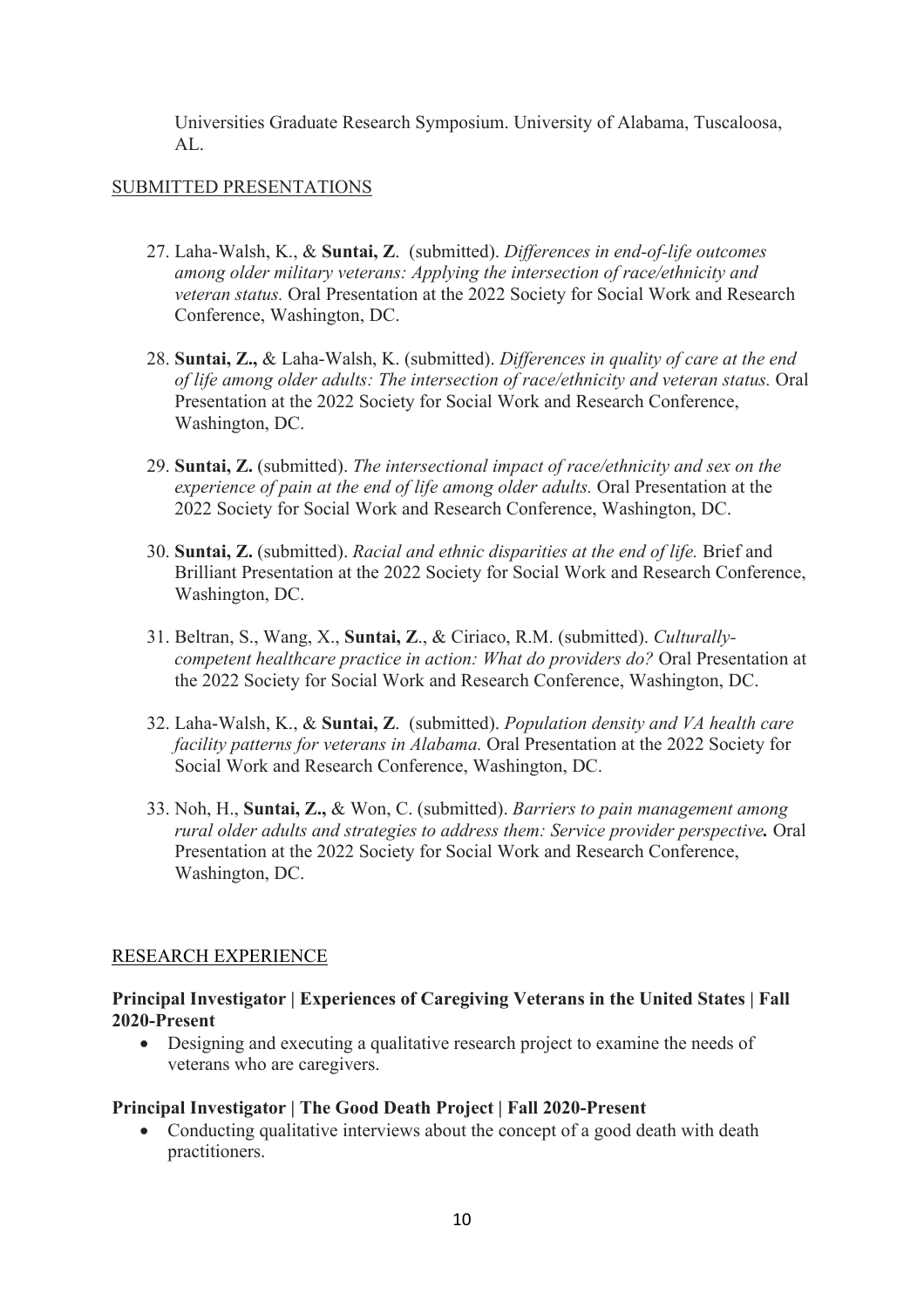Universities Graduate Research Symposium. University of Alabama, Tuscaloosa, AL.

### SUBMITTED PRESENTATIONS

- 27. Laha-Walsh, K., & **Suntai, Z**. (submitted). *Differences in end-of-life outcomes among older military veterans: Applying the intersection of race/ethnicity and veteran status.* Oral Presentation at the 2022 Society for Social Work and Research Conference, Washington, DC.
- 28. **Suntai, Z.,** & Laha-Walsh, K. (submitted). *Differences in quality of care at the end of life among older adults: The intersection of race/ethnicity and veteran status.* Oral Presentation at the 2022 Society for Social Work and Research Conference, Washington, DC.
- 29. **Suntai, Z.** (submitted). *The intersectional impact of race/ethnicity and sex on the experience of pain at the end of life among older adults.* Oral Presentation at the 2022 Society for Social Work and Research Conference, Washington, DC.
- 30. **Suntai, Z.** (submitted). *Racial and ethnic disparities at the end of life.* Brief and Brilliant Presentation at the 2022 Society for Social Work and Research Conference, Washington, DC.
- 31. Beltran, S., Wang, X., **Suntai, Z**., & Ciriaco, R.M. (submitted). *Culturallycompetent healthcare practice in action: What do providers do?* Oral Presentation at the 2022 Society for Social Work and Research Conference, Washington, DC.
- 32. Laha-Walsh, K., & **Suntai, Z**. (submitted). *Population density and VA health care facility patterns for veterans in Alabama.* Oral Presentation at the 2022 Society for Social Work and Research Conference, Washington, DC.
- 33. Noh, H., **Suntai, Z.,** & Won, C. (submitted). *Barriers to pain management among rural older adults and strategies to address them: Service provider perspective.* Oral Presentation at the 2022 Society for Social Work and Research Conference, Washington, DC.

# RESEARCH EXPERIENCE

# **Principal Investigator | Experiences of Caregiving Veterans in the United States | Fall 2020-Present**

• Designing and executing a qualitative research project to examine the needs of veterans who are caregivers.

# **Principal Investigator | The Good Death Project | Fall 2020-Present**

• Conducting qualitative interviews about the concept of a good death with death practitioners.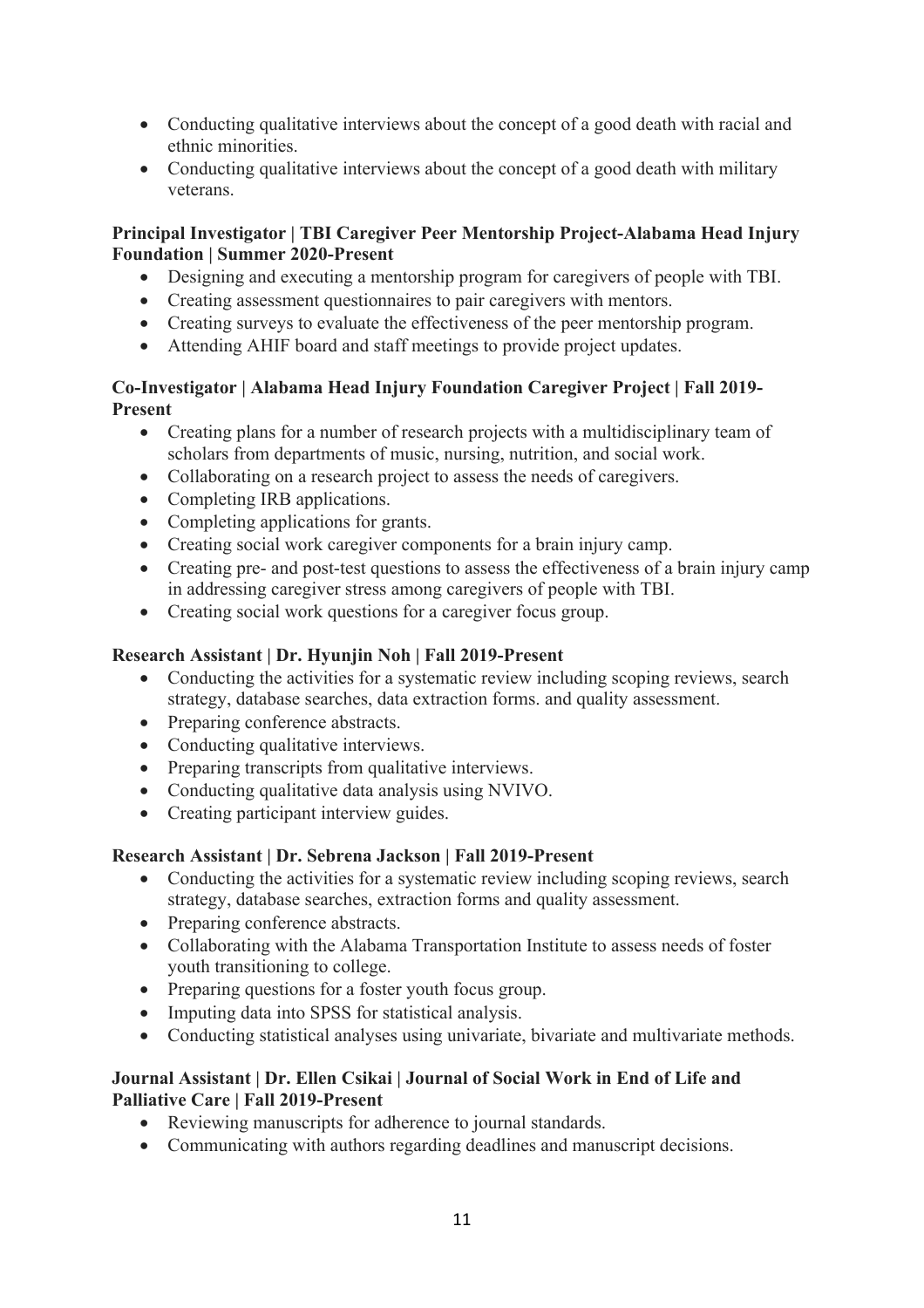- Conducting qualitative interviews about the concept of a good death with racial and ethnic minorities.
- Conducting qualitative interviews about the concept of a good death with military veterans.

# **Principal Investigator | TBI Caregiver Peer Mentorship Project-Alabama Head Injury Foundation | Summer 2020-Present**

- Designing and executing a mentorship program for caregivers of people with TBI.
- Creating assessment questionnaires to pair caregivers with mentors.
- Creating surveys to evaluate the effectiveness of the peer mentorship program.
- Attending AHIF board and staff meetings to provide project updates.

# **Co-Investigator | Alabama Head Injury Foundation Caregiver Project | Fall 2019- Present**

- Creating plans for a number of research projects with a multidisciplinary team of scholars from departments of music, nursing, nutrition, and social work.
- Collaborating on a research project to assess the needs of caregivers.
- Completing IRB applications.
- Completing applications for grants.
- Creating social work caregiver components for a brain injury camp.
- Creating pre- and post-test questions to assess the effectiveness of a brain injury camp in addressing caregiver stress among caregivers of people with TBI.
- Creating social work questions for a caregiver focus group.

# **Research Assistant | Dr. Hyunjin Noh | Fall 2019-Present**

- Conducting the activities for a systematic review including scoping reviews, search strategy, database searches, data extraction forms. and quality assessment.
- Preparing conference abstracts.
- Conducting qualitative interviews.
- Preparing transcripts from qualitative interviews.
- Conducting qualitative data analysis using NVIVO.
- Creating participant interview guides.

# **Research Assistant | Dr. Sebrena Jackson | Fall 2019-Present**

- Conducting the activities for a systematic review including scoping reviews, search strategy, database searches, extraction forms and quality assessment.
- Preparing conference abstracts.
- Collaborating with the Alabama Transportation Institute to assess needs of foster youth transitioning to college.
- Preparing questions for a foster youth focus group.
- Imputing data into SPSS for statistical analysis.
- Conducting statistical analyses using univariate, bivariate and multivariate methods.

# **Journal Assistant | Dr. Ellen Csikai | Journal of Social Work in End of Life and Palliative Care | Fall 2019-Present**

- Reviewing manuscripts for adherence to journal standards.
- Communicating with authors regarding deadlines and manuscript decisions.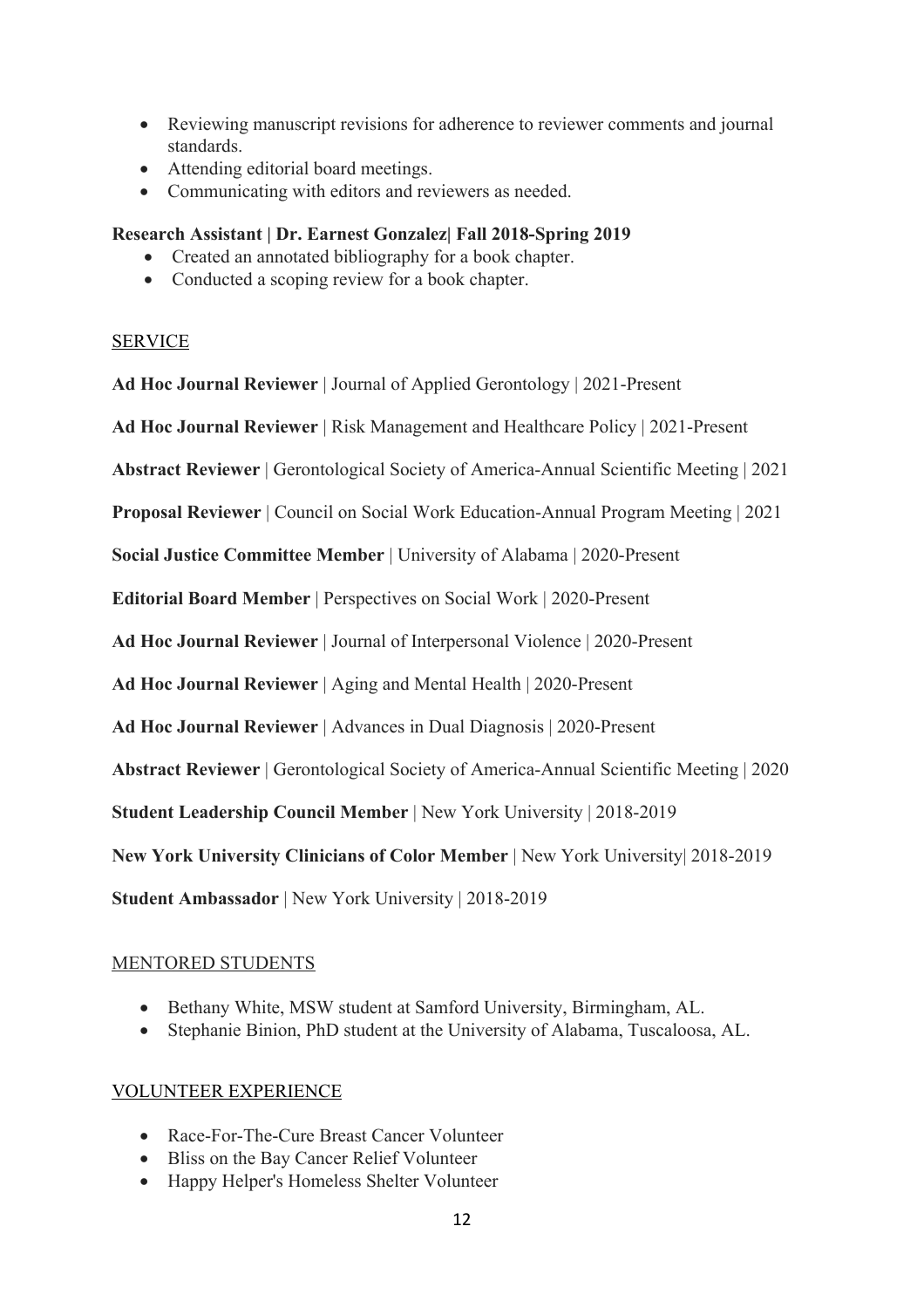- Reviewing manuscript revisions for adherence to reviewer comments and journal standards.
- Attending editorial board meetings.
- Communicating with editors and reviewers as needed.

# **Research Assistant | Dr. Earnest Gonzalez| Fall 2018-Spring 2019**

- Created an annotated bibliography for a book chapter.
- Conducted a scoping review for a book chapter.

# SERVICE

**Ad Hoc Journal Reviewer** | Journal of Applied Gerontology | 2021-Present

**Ad Hoc Journal Reviewer** | Risk Management and Healthcare Policy | 2021-Present

**Abstract Reviewer** | Gerontological Society of America-Annual Scientific Meeting | 2021

**Proposal Reviewer** | Council on Social Work Education-Annual Program Meeting | 2021

**Social Justice Committee Member** | University of Alabama | 2020-Present

**Editorial Board Member** | Perspectives on Social Work | 2020-Present

**Ad Hoc Journal Reviewer** | Journal of Interpersonal Violence | 2020-Present

**Ad Hoc Journal Reviewer** | Aging and Mental Health | 2020-Present

**Ad Hoc Journal Reviewer** | Advances in Dual Diagnosis | 2020-Present

**Abstract Reviewer** | Gerontological Society of America-Annual Scientific Meeting | 2020

**Student Leadership Council Member** | New York University | 2018-2019

**New York University Clinicians of Color Member** | New York University| 2018-2019

**Student Ambassador** | New York University | 2018-2019

# MENTORED STUDENTS

- Bethany White, MSW student at Samford University, Birmingham, AL.
- Stephanie Binion, PhD student at the University of Alabama, Tuscaloosa, AL.

# VOLUNTEER EXPERIENCE

- Race-For-The-Cure Breast Cancer Volunteer
- Bliss on the Bay Cancer Relief Volunteer
- Happy Helper's Homeless Shelter Volunteer